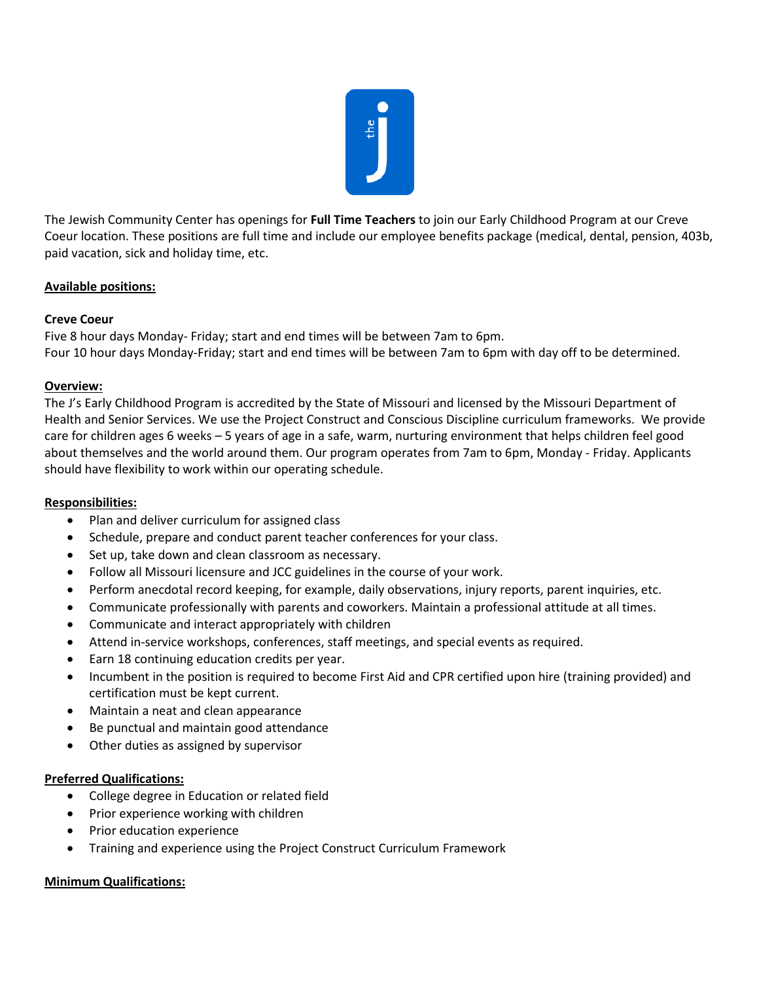

The Jewish Community Center has openings for **Full Time Teachers** to join our Early Childhood Program at our Creve Coeur location. These positions are full time and include our employee benefits package (medical, dental, pension, 403b, paid vacation, sick and holiday time, etc.

# **Available positions:**

# **Creve Coeur**

Five 8 hour days Monday- Friday; start and end times will be between 7am to 6pm. Four 10 hour days Monday-Friday; start and end times will be between 7am to 6pm with day off to be determined.

# **Overview:**

The J's Early Childhood Program is accredited by the State of Missouri and licensed by the Missouri Department of Health and Senior Services. We use the Project Construct and Conscious Discipline curriculum frameworks. We provide care for children ages 6 weeks – 5 years of age in a safe, warm, nurturing environment that helps children feel good about themselves and the world around them. Our program operates from 7am to 6pm, Monday - Friday. Applicants should have flexibility to work within our operating schedule.

### **Responsibilities:**

- Plan and deliver curriculum for assigned class
- Schedule, prepare and conduct parent teacher conferences for your class.
- Set up, take down and clean classroom as necessary.
- Follow all Missouri licensure and JCC guidelines in the course of your work.
- Perform anecdotal record keeping, for example, daily observations, injury reports, parent inquiries, etc.
- Communicate professionally with parents and coworkers. Maintain a professional attitude at all times.
- Communicate and interact appropriately with children
- Attend in-service workshops, conferences, staff meetings, and special events as required.
- Earn 18 continuing education credits per year.
- Incumbent in the position is required to become First Aid and CPR certified upon hire (training provided) and certification must be kept current.
- Maintain a neat and clean appearance
- Be punctual and maintain good attendance
- Other duties as assigned by supervisor

### **Preferred Qualifications:**

- College degree in Education or related field
- Prior experience working with children
- Prior education experience
- Training and experience using the Project Construct Curriculum Framework

### **Minimum Qualifications:**